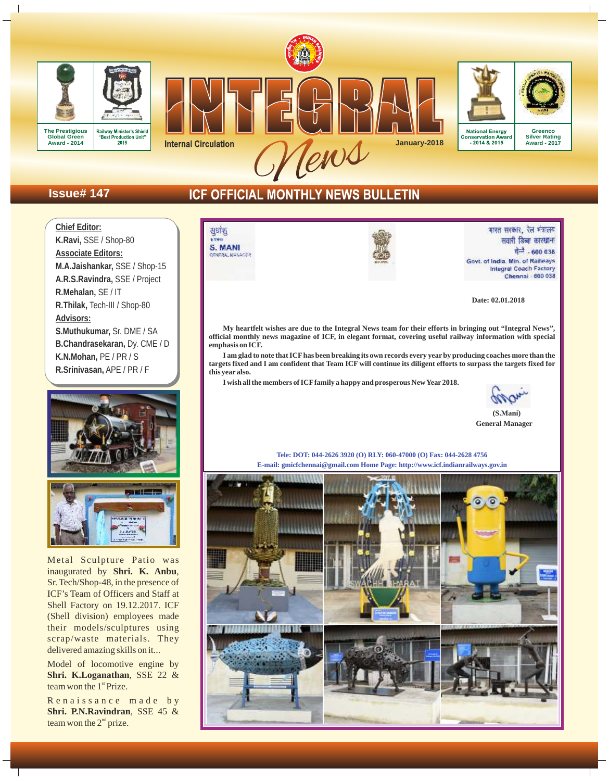







Conservation Aw .<br>iarr

**Greenco Silver Rating Award - 2017**

# **Issue# 147**

# ICF OFFICIAL MONTHLY NEWS BULLETIN





Metal Sculpture Patio was inaugurated by **Shri. K. Anbu**, Sr. Tech/Shop-48, in the presence of ICF's Team of Officers and Staff at Shell Factory on 19.12.2017. ICF (Shell division) employees made their models/sculptures using scrap/waste materials. They delivered amazing skills on it...

Model of locomotive engine by **Shri. K.Loganathan**, SSE 22 & team won the  $1<sup>st</sup>$  Prize.

Renaissance made by **Shri. P.N.Ravindran**, SSE 45 & team won the  $2<sup>nd</sup>$  prize.





भारत सरकार, रेल भंत्रालय सवारी डिब्बा कारखाना चेन्नै - 600 038 Govt. of India. Min. of Railways Integral Coach Factory Chennai - 600 038

**Date: 02.01.2018**

**My heartfelt wishes are due to the Integral News team for their efforts in bringing out "Integral News", official monthly news magazine of ICF, in elegant format, covering useful railway information with special emphasis on ICF.**

**I am glad to note that ICFhas been breaking its own records every year by producing coaches more than the targets fixed and I am confident that Team ICF will continue its diligent efforts to surpass the targets fixed for this year also.**

**I wish all the members of ICFfamily a happy and prosperous New Year 2018.**

 **(S.Mani) General Manager**

**Tele: DOT: 044-2626 3920 (O) RLY: 060-47000 (O) Fax: 044-2628 4756 E-mail: gmicfchennai@gmail.com Home Page: http://www.icf.indianrailways.gov.in**

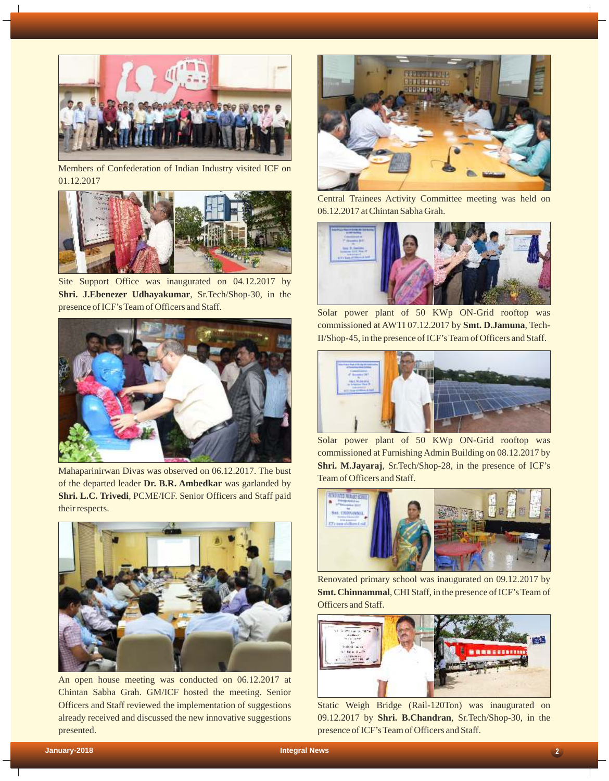

Members of Confederation of Indian Industry visited ICF on 01.12.2017



Site Support Office was inaugurated on 04.12.2017 by **Shri. J.Ebenezer Udhayakumar**, Sr.Tech/Shop-30, in the presence of ICF's Team of Officers and Staff.<br>Solar power plant of 50 KWp ON-Grid rooftop was



Mahaparinirwan Divas was observed on 06.12.2017. The bust of the departed leader **Dr. B.R. Ambedkar** was garlanded by **Shri. L.C. Trivedi**, PCME/ICF. Senior Officers and Staff paid their respects.



An open house meeting was conducted on 06.12.2017 at Chintan Sabha Grah. GM/ICF hosted the meeting. Senior Officers and Staff reviewed the implementation of suggestions already received and discussed the new innovative suggestions presented.



Central Trainees Activity Committee meeting was held on 06.12.2017 at Chintan Sabha Grah.



commissioned at AWTI 07.12.2017 by **Smt. D.Jamuna**, Tech-II/Shop-45, in the presence of ICF's Team of Officers and Staff.



Solar power plant of 50 KWp ON-Grid rooftop was commissioned at Furnishing Admin Building on 08.12.2017 by **Shri. M.Jayaraj**, Sr.Tech/Shop-28, in the presence of ICF's Team of Officers and Staff.



Renovated primary school was inaugurated on 09.12.2017 by **Smt. Chinnammal**, CHI Staff, in the presence of ICF's Team of Officers and Staff.



Static Weigh Bridge (Rail-120Ton) was inaugurated on 09.12.2017 by **Shri. B.Chandran**, Sr.Tech/Shop-30, in the presence of ICF's Team of Officers and Staff.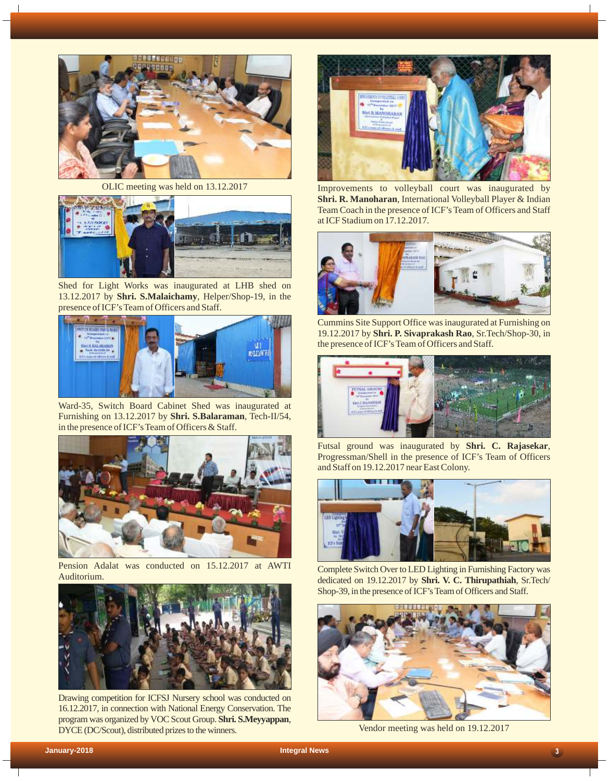

OLIC meeting was held on 13.12.2017



Shed for Light Works was inaugurated at LHB shed on 13.12.2017 by **Shri. S.Malaichamy**, Helper/Shop-19, in the presence of ICF's Team of Officers and Staff.



Ward-35, Switch Board Cabinet Shed was inaugurated at Furnishing on 13.12.2017 by **Shri. S.Balaraman**, Tech-II/54, in the presence of ICF's Team of Officers & Staff.



Pension Adalat was conducted on 15.12.2017 at AWTI **Auditorium** 



Drawing competition for ICFSJ Nursery school was conducted on 16.12.2017, in connection with National Energy Conservation. The program was organized by VOC Scout Group. **Shri. S.Meyyappan**, DYCE (DC/Scout), distributed prizes to the winners.



Improvements to volleyball court was inaugurated by **Shri. R. Manoharan**, International Volleyball Player & Indian Team Coach in the presence of ICF's Team of Officers and Staff at ICF Stadium on 17.12.2017.



Cummins Site Support Office was inaugurated at Furnishing on 19.12.2017 by **Shri. P. Sivaprakash Rao**, Sr.Tech/Shop-30, in the presence of ICF's Team of Officers and Staff.



Futsal ground was inaugurated by **Shri. C. Rajasekar**, Progressman/Shell in the presence of ICF's Team of Officers and Staff on 19.12.2017 near East Colony.



Complete Switch Over to LED Lighting in Furnishing Factory was dedicated on 19.12.2017 by **Shri. V. C. Thirupathiah**, Sr.Tech/ Shop-39, in the presence of ICF's Team of Officers and Staff.



Vendor meeting was held on 19.12.2017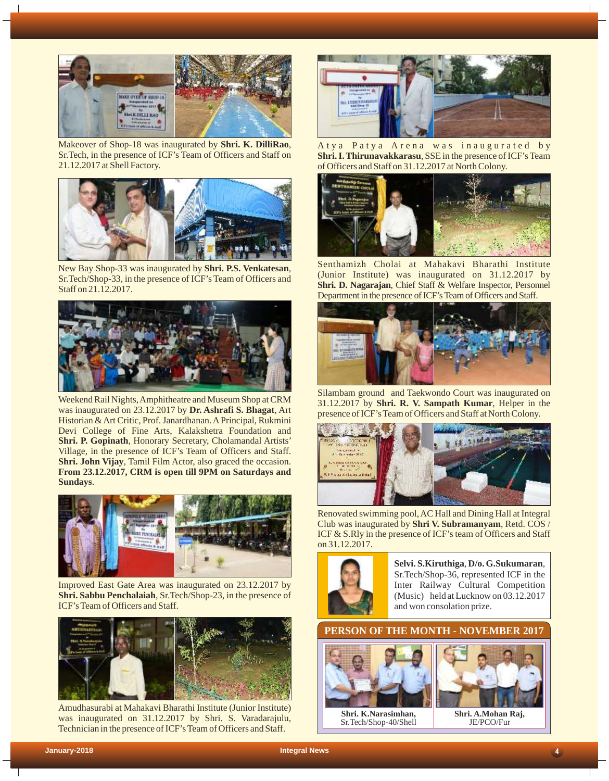

Makeover of Shop-18 was inaugurated by **Shri. K. DilliRao**, Sr.Tech, in the presence of ICF's Team of Officers and Staff on 21.12.2017 at Shell Factory.



New Bay Shop-33 was inaugurated by **Shri. P.S. Venkatesan**, Sr.Tech/Shop-33, in the presence of ICF's Team of Officers and Staff on 21.12.2017.



Weekend Rail Nights, Amphitheatre and Museum Shop at CRM was inaugurated on 23.12.2017 by **Dr. Ashrafi S. Bhagat**, Art Historian & Art Critic, Prof. Janardhanan. APrincipal, Rukmini Devi College of Fine Arts, Kalakshetra Foundation and **Shri. P. Gopinath**, Honorary Secretary, Cholamandal Artists' Village, in the presence of ICF's Team of Officers and Staff. **Shri. John Vijay**, Tamil Film Actor, also graced the occasion. **From 23.12.2017, CRM is open till 9PM on Saturdays and Sundays**.



Improved East Gate Area was inaugurated on 23.12.2017 by **Shri. Sabbu Penchalaiah**, Sr.Tech/Shop-23, in the presence of ICF's Team of Officers and Staff.



Amudhasurabi at Mahakavi Bharathi Institute (Junior Institute) was inaugurated on 31.12.2017 by Shri. S. Varadarajulu, Technician in the presence of ICF's Team of Officers and Staff.



A tya Patya Arena was inaugurated by **Shri. I. Thirunavakkarasu**, SSE in the presence of ICF's Team of Officers and Staff on 31.12.2017 at North Colony.



Senthamizh Cholai at Mahakavi Bharathi Institute (Junior Institute) was inaugurated on 31.12.2017 by **Shri. D. Nagarajan**, Chief Staff & Welfare Inspector, Personnel Department in the presence of ICF's Team of Officers and Staff.



Silambam ground and Taekwondo Court was inaugurated on 31.12.2017 by **Shri. R. V. Sampath Kumar**, Helper in the presence of ICF's Team of Officers and Staff at North Colony.



Renovated swimming pool, AC Hall and Dining Hall at Integral Club was inaugurated by **Shri V. Subramanyam**, Retd. COS / ICF & S.Rly in the presence of ICF's team of Officers and Staff on 31.12.2017.



**Selvi. S.Kiruthiga**, **D/o. G.Sukumaran**, Sr.Tech/Shop-36, represented ICF in the Inter Railway Cultural Competition (Music) held at Lucknow on 03.12.2017 and won consolation prize.

**PERSON OF THE MONTH - NOVEMBER 2017**



**Shri. K.Narasimhan,** Sr.Tech/Shop-40/Shell



**Shri. A.Mohan Raj,**  JE/PCO/Fur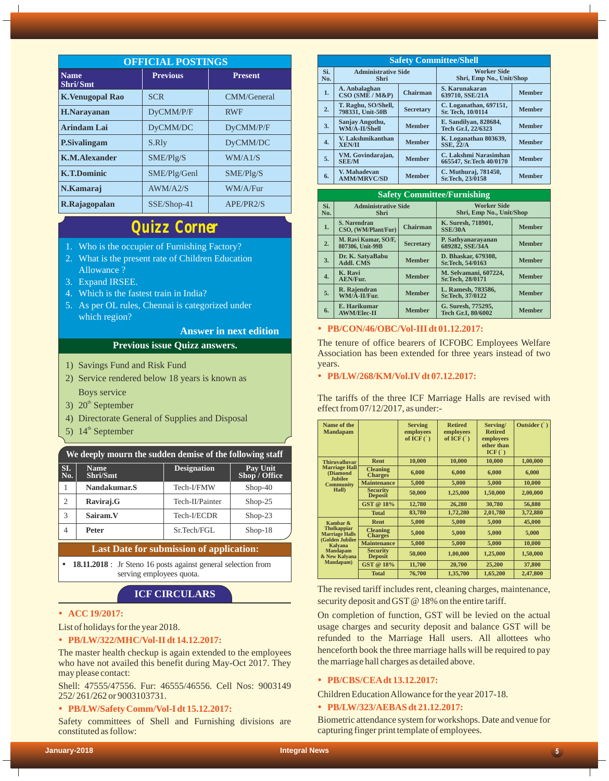| <b>OFFICIAL POSTINGS</b> |                 |                |  |
|--------------------------|-----------------|----------------|--|
| <b>Name</b><br>Shri/Smt  | <b>Previous</b> | <b>Present</b> |  |
| <b>K.Venugopal Rao</b>   | <b>SCR</b>      | CMM/General    |  |
| <b>H.Narayanan</b>       | DyCMM/P/F       | <b>RWF</b>     |  |
| <b>Arindam Lai</b>       | DyCMM/DC        | DyCMM/P/F      |  |
| <b>P.Sivalingam</b>      | S.Rly           | DyCMM/DC       |  |
| <b>K.M.Alexander</b>     | SME/Plg/S       | WM/A1/S        |  |
| <b>K.T.Dominic</b>       | SME/Plg/Genl    | SME/PIg/S      |  |
| N.Kamaraj                | AWM/A2/S        | WM/A/Fur       |  |
| R.Rajagopalan            | $SSE/Shop-41$   | APE/PR2/S      |  |

# *Quizz Corner*

- 1. Who is the occupier of Furnishing Factory?
- 2. What is the present rate of Children Education Allowance ?
- 3. Expand IRSEE.
- 4. Which is the fastest train in India?
- 5. As per OL rules, Chennai is categorized under which region?

## **Answer in next edition**

## **Previous issue Quizz answers.**

- 1) Savings Fund and Risk Fund
- 2) Service rendered below 18 years is known as Boys service
- 3)  $20<sup>th</sup>$  September
- 4) Directorate General of Supplies and Disposal
- 5)  $14<sup>th</sup>$  September

## **We deeply mourn the sudden demise of the following staff**

| SI.<br>No.     | <b>Name</b><br>Shri/Smt | <b>Designation</b> | Pay Unit<br>Shop / Office |  |
|----------------|-------------------------|--------------------|---------------------------|--|
|                | Nandakumar.S            | Tech-I/FMW         | $Shop-40$                 |  |
| $\overline{c}$ | Raviraj.G               | Tech-II/Painter    | $Shop-25$                 |  |
| 3              | Sairam.V                | Tech-I/ECDR        | $Shop-23$                 |  |
| 4              | <b>Peter</b>            | Sr.Tech/FGL        | $Shop-18$                 |  |

#### **Last Date for submission of application:**

• **18.11.2018** : Jr Steno 16 posts against general selection from serving employees quota.

## **ICF CIRCULARS**

#### • **ACC 19/2017:**

List of holidays for the year 2018.

## • **PB/LW/322/MHC/Vol-II dt 14.12.2017:**

The master health checkup is again extended to the employees who have not availed this benefit during May-Oct 2017. They may please contact:

Shell: 47555/47556. Fur: 46555/46556. Cell Nos: 9003149 252/ 261/262 or 9003103731.

#### Ÿ **PB/LW/Safety Comm/Vol-I dt 15.12.2017:**

Safety committees of Shell and Furnishing divisions are constituted as follow:

| <b>Safety Committee/Shell</b> |                                         |                  |                                                  |               |
|-------------------------------|-----------------------------------------|------------------|--------------------------------------------------|---------------|
| Si.<br>No.                    | <b>Administrative Side</b><br>Shri      |                  | <b>Worker Side</b><br>Shri, Emp No., Unit/Shop   |               |
| 1.                            | A. Anbalaghan<br>$CSO(SME/M\&P)$        | <b>Chairman</b>  | S. Karunakaran<br>639710, SSE/21A                | <b>Member</b> |
| 2.                            | T. Raghu, SO/Shell,<br>798331. Unit-50B | <b>Secretary</b> | C. Loganathan, 697151,<br>Sr. Tech, 10/0114      | <b>Member</b> |
| 3.                            | Sanjay Angothu,<br>WM/A-II/Shell        | <b>Member</b>    | E. Sandilyan, 828684,<br>Tech Gr.I, 22/6323      | <b>Member</b> |
| $\overline{4}$ .              | V. Lakshmikanthan<br><b>XEN/II</b>      | <b>Member</b>    | K. Loganathan 803639,<br><b>SSE, 22/A</b>        | <b>Member</b> |
| 5.                            | VM. Govindarajan,<br><b>SEE/M</b>       | <b>Member</b>    | C. Lakshmi Narasimhan<br>665547, Sr.Tech 40/0170 | <b>Member</b> |
| 6.                            | V. Mahadevan<br><b>AMM/MRVC/SD</b>      | <b>Member</b>    | C. Muthuraj, 781450,<br>Sr.Tech. 23/0158         | <b>Member</b> |

| <b>Safety Committee/Furnishing</b> |                                           |                  |                                                  |               |
|------------------------------------|-------------------------------------------|------------------|--------------------------------------------------|---------------|
| Si.<br>No.                         | <b>Administrative Side</b><br><b>Shri</b> |                  | <b>Worker Side</b><br>Shri, Emp No., Unit/Shop   |               |
| 1.                                 | S. Narendran<br>CSO, (WM/Plant/Fur)       | <b>Chairman</b>  | K. Suresh, 718901,<br><b>SSE/30A</b>             | <b>Member</b> |
| 2.                                 | M. Ravi Kumar, SO/F,<br>807306. Unit-99B  | <b>Secretary</b> | P. Sathyanarayanan<br>689282, SSE/34A            | <b>Member</b> |
| 3.                                 | Dr. K. SatyaBabu<br><b>Addl. CMS</b>      | <b>Member</b>    | D. Bhaskar, 679308,<br>Sr.Tech. 54/0163          | <b>Member</b> |
| $\overline{4}$ .                   | K. Ravi<br><b>AEN/Fur.</b>                | <b>Member</b>    | <b>M. Selvamani, 607224.</b><br>Sr.Tech, 28/0171 | <b>Member</b> |
| 5.                                 | R. Rajendran<br>WM/A-II/Fur.              | <b>Member</b>    | L. Ramesh, 783586,<br>Sr.Tech, 37/0122           | <b>Member</b> |
| 6.                                 | E. Harikumar<br><b>AWM/Elec-II</b>        | <b>Member</b>    | G. Suresh, 775295,<br>Tech Gr.I. 80/6002         | <b>Member</b> |

## • **PB/CON/46/OBC/Vol-III dt 01.12.2017:**

The tenure of office bearers of ICFOBC Employees Welfare Association has been extended for three years instead of two years.

## • **PB/LW/268/KM/Vol.IV** dt 07.12.2017:

The tariffs of the three ICF Marriage Halls are revised with effect from 07/12/2017, as under:-

| Name of the<br><b>Mandapam</b>                                                                                                                |                                   | <b>Serving</b><br>employees<br>of ICF $(\ )$ | <b>Retired</b><br>employees<br>of ICF $(\ )$ | Serving/<br><b>Retired</b><br>employees<br>other than<br>ICF() | Outsider $( )$ |
|-----------------------------------------------------------------------------------------------------------------------------------------------|-----------------------------------|----------------------------------------------|----------------------------------------------|----------------------------------------------------------------|----------------|
| <b>Thiruvalluvar</b>                                                                                                                          | Rent                              | 10,000                                       | 10,000                                       | 10,000                                                         | 1,00,000       |
| <b>Marriage Hall</b><br><b>(Diamond</b>                                                                                                       | <b>Cleaning</b><br><b>Charges</b> | 6,000                                        | 6,000                                        | 6,000                                                          | 6,000          |
| <b>Jubilee</b><br><b>Community</b>                                                                                                            | <b>Maintenance</b>                | 5,000                                        | 5,000                                        | 5,000                                                          | 10,000         |
| <b>Hall</b> )                                                                                                                                 | <b>Security</b><br><b>Deposit</b> | 50,000                                       | 1,25,000                                     | 1,50,000                                                       | 2,00,000       |
|                                                                                                                                               | GST @ 18%                         | 12,780                                       | 26,280                                       | 30,780                                                         | 56,880         |
|                                                                                                                                               | <b>Total</b>                      | 83,780                                       | 1,72,280                                     | 2,01,780                                                       | 3,72,880       |
| Kambar &<br><b>Tholkappiar</b><br><b>Marriage Halls</b><br>(Golden Jubilee<br><b>Kalyana</b><br><b>Mandapam</b><br>& New Kalyana<br>Mandapam) | Rent                              | 5,000                                        | 5,000                                        | 5,000                                                          | 45,000         |
|                                                                                                                                               | <b>Cleaning</b><br>Charges        | 5,000                                        | 5,000                                        | 5,000                                                          | 5,000          |
|                                                                                                                                               | <b>Maintenance</b>                | 5,000                                        | 5,000                                        | 5,000                                                          | 10,000         |
|                                                                                                                                               | <b>Security</b><br><b>Deposit</b> | 50,000                                       | 1,00,000                                     | 1,25,000                                                       | 1,50,000       |
|                                                                                                                                               | GST @ 18%                         | 11,700                                       | 20,700                                       | 25,200                                                         | 37,800         |
|                                                                                                                                               | <b>Total</b>                      | 76,700                                       | 1,35,700                                     | 1,65,200                                                       | 2,47,800       |

The revised tariff includes rent, cleaning charges, maintenance, security deposit and GST @ 18% on the entire tariff.

On completion of function, GST will be levied on the actual usage charges and security deposit and balance GST will be refunded to the Marriage Hall users. All allottees who henceforth book the three marriage halls will be required to pay the marriage hall charges as detailed above.

## • **PB/CBS/CEAdt 13.12.2017:**

Children Education Allowance for the year 2017-18.

## • **PB/LW/323/AEBAS dt 21.12.2017:**

Biometric attendance system for workshops. Date and venue for capturing finger print template of employees.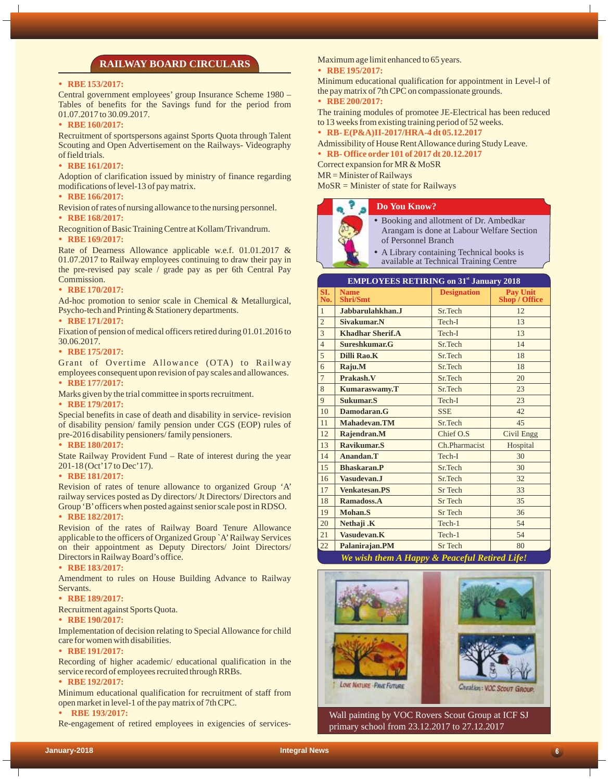## **RAILWAY BOARD CIRCULARS**

#### • RBE 153/2017:

Central government employees' group Insurance Scheme 1980 – Tables of benefits for the Savings fund for the period from 01.07.2017 to 30.09.2017.

#### • RBE 160/2017:

Recruitment of sportspersons against Sports Quota through Talent Scouting and Open Advertisement on the Railways- Videography of field trials.

#### • RBE 161/2017:

Adoption of clarification issued by ministry of finance regarding modifications of level-13 of pay matrix.

## **RBE 166/2017:**

Revision of rates of nursing allowance to the nursing personnel.

#### • RBE 168/2017:

Recognition of Basic Training Centre at Kollam/Trivandrum.

#### • RBE 169/2017:

Rate of Dearness Allowance applicable w.e.f. 01.01.2017 & 01.07.2017 to Railway employees continuing to draw their pay in the pre-revised pay scale / grade pay as per 6th Central Pay Commission.

#### • RBE 170/2017:

Ad-hoc promotion to senior scale in Chemical & Metallurgical, Psycho-tech and Printing & Stationery departments.

#### • **RBE 171/2017:**

Fixation of pension of medical officers retired during 01.01.2016 to 30.06.2017.

### • RBE 175/2017:

Grant of Overtime Allowance (OTA) to Railway employees consequent upon revision of pay scales and allowances.

## • RBE 177/2017:

Marks given by the trial committee in sports recruitment.

#### • RBE 179/2017:

Special benefits in case of death and disability in service- revision of disability pension/ family pension under CGS (EOP) rules of pre-2016 disability pensioners/ family pensioners.

#### • RBE 180/2017:

State Railway Provident Fund – Rate of interest during the year 201-18 (Oct'17 to Dec'17).

#### • RBE 181/2017:

Revision of rates of tenure allowance to organized Group 'A' railway services posted as Dy directors/ Jt Directors/ Directors and Group 'B'officers when posted against senior scale post in RDSO.

#### • RBE 182/2017:

Revision of the rates of Railway Board Tenure Allowance applicable to the officers of Organized Group `A'Railway Services on their appointment as Deputy Directors/ Joint Directors/ Directors in Railway Board's office.

#### • RBE 183/2017:

Amendment to rules on House Building Advance to Railway Servants.

#### • RBE 189/2017:

Recruitment against Sports Quota.

## • RBE 190/2017:

Implementation of decision relating to Special Allowance for child care for women with disabilities.

#### • RBE 191/2017:

Recording of higher academic/ educational qualification in the service record of employees recruited through RRBs.

#### • RBE 192/2017:

Minimum educational qualification for recruitment of staff from open market in level-1 of the paymatrix of 7th CPC.

#### **RBE 193/2017:**

Re-engagement of retired employees in exigencies of services-

Maximum age limit enhanced to 65 years.

#### • RBE 195/2017:

Minimum educational qualification for appointment in Level-l of the paymatrix of 7th CPC on compassionate grounds.

## • RBE 200/2017:

The training modules of promotee JE-Electrical has been reduced to 13 weeks from existing training period of 52 weeks.

Ÿ **RB- E(P&A)II-2017/HRA-4 dt 05.12.2017**

- Admissibility of House Rent Allowance during Study Leave.
- Ÿ **RB- Office order 101 of 2017 dt 20.12.2017**

Correct expansion for MR & MoSR

MR = Minister of Railways

MoSR = Minister of state for Railways

#### **Do You Know?**



- Booking and allotment of Dr. Ambedkar Arangam is done at Labour Welfare Section of Personnel Branch
- A Library containing Technical books is available at Technical Training Centre

| <b>EMPLOYEES RETIRING on 31<sup>st</sup> January 2018</b> |                                               |                    |                           |  |
|-----------------------------------------------------------|-----------------------------------------------|--------------------|---------------------------|--|
| SI.<br>No.                                                | <b>Name</b><br><b>Shri/Smt</b>                | <b>Designation</b> | Pay Unit<br>Shop / Office |  |
| $\mathbf{1}$                                              | Jabbarulahkhan.J                              | Sr.Tech            | 12                        |  |
| $\overline{c}$                                            | Sivakumar.N                                   | Tech-I             | 13                        |  |
| 3                                                         | <b>Khadhar Sherif.A</b>                       | Tech-I             | 13                        |  |
| $\overline{4}$                                            | Sureshkumar.G                                 | Sr.Tech            | 14                        |  |
| 5                                                         | Dilli Rao.K                                   | Sr.Tech            | 18                        |  |
| 6                                                         | Raju.M                                        | Sr.Tech            | 18                        |  |
| $\overline{7}$                                            | Prakash.V                                     | Sr.Tech            | 20                        |  |
| 8                                                         | <b>Kumaraswamy.T</b>                          | Sr.Tech            | 23                        |  |
| 9                                                         | Sukumar.S                                     | Tech-I             | 23                        |  |
| 10                                                        | Damodaran.G                                   | <b>SSE</b>         | 42                        |  |
| 11                                                        | Mahadevan.TM                                  | Sr.Tech            | 45                        |  |
| 12                                                        | Rajendran.M                                   | Chief O.S          | <b>Civil Engg</b>         |  |
| 13                                                        | Ravikumar.S                                   | Ch.Pharmacist      | Hospital                  |  |
| 14                                                        | Anandan.T                                     | Tech-I             | 30                        |  |
| 15                                                        | Bhaskaran.P                                   | Sr.Tech            | 30                        |  |
| 16                                                        | Vasudevan.J                                   | Sr.Tech            | 32                        |  |
| 17                                                        | <b>Venkatesan.PS</b>                          | <b>Sr</b> Tech     | 33                        |  |
| 18                                                        | Ramadoss.A                                    | <b>Sr</b> Tech     | 35                        |  |
| 19                                                        | Mohan.S                                       | <b>Sr</b> Tech     | 36                        |  |
| 20                                                        | Nethaji .K                                    | Tech-1             | 54                        |  |
| 21                                                        | Vasudevan.K                                   | Tech-1             | 54                        |  |
| 22                                                        | Palanirajan.PM                                | Sr Tech            | 80                        |  |
|                                                           | We wish tham A Hanny P Degrad J Datinal Life! |                    |                           |  |

*We wish them A Happy & Peaceful Retired Life!*



Wall painting by VOC Rovers Scout Group at ICF SJ primary school from 23.12.2017 to 27.12.2017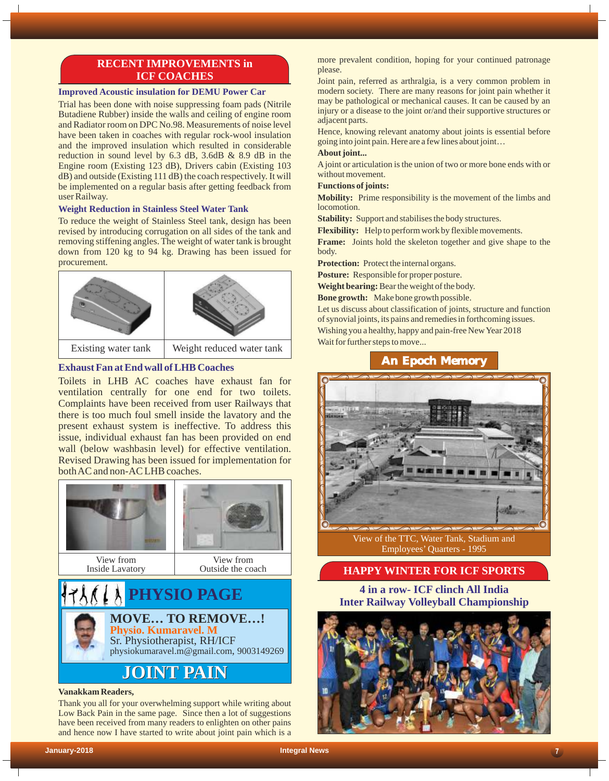# **RECENT IMPROVEMENTS in ICF COACHES**

## **Improved Acoustic insulation for DEMU Power Car**

Trial has been done with noise suppressing foam pads (Nitrile Butadiene Rubber) inside the walls and ceiling of engine room and Radiator room on DPC No.98. Measurements of noise level have been taken in coaches with regular rock-wool insulation and the improved insulation which resulted in considerable reduction in sound level by 6.3 dB, 3.6dB & 8.9 dB in the Engine room (Existing 123 dB), Drivers cabin (Existing 103 dB) and outside (Existing 111 dB) the coach respectively. It will be implemented on a regular basis after getting feedback from user Railway.

## **Weight Reduction in Stainless Steel Water Tank**

To reduce the weight of Stainless Steel tank, design has been revised by introducing corrugation on all sides of the tank and removing stiffening angles. The weight of water tank is brought down from 120 kg to 94 kg. Drawing has been issued for procurement.



# **Exhaust Fan at End wall of LHB Coaches**

Toilets in LHB AC coaches have exhaust fan for ventilation centrally for one end for two toilets. Complaints have been received from user Railways that there is too much foul smell inside the lavatory and the present exhaust system is ineffective. To address this issue, individual exhaust fan has been provided on end wall (below washbasin level) for effective ventilation. Revised Drawing has been issued for implementation for both AC and non-AC LHB coaches.



#### **Vanakkam Readers,**

Thank you all for your overwhelming support while writing about Low Back Pain in the same page. Since then a lot of suggestions have been received from many readers to enlighten on other pains and hence now I have started to write about joint pain which is a

more prevalent condition, hoping for your continued patronage please.

Joint pain, referred as arthralgia, is a very common problem in modern society. There are many reasons for joint pain whether it may be pathological or mechanical causes. It can be caused by an injury or a disease to the joint or/and their supportive structures or adjacent parts.

Hence, knowing relevant anatomy about joints is essential before going into joint pain. Here are a few lines about joint…

## **About joint...**

A joint or articulation is the union of two or more bone ends with or without movement.

#### **Functions of joints:**

**Mobility:** Prime responsibility is the movement of the limbs and locomotion.

**Stability:** Support and stabilises the body structures.

**Flexibility:** Help to perform work by flexible movements.

**Frame:** Joints hold the skeleton together and give shape to the body.

**Protection:** Protect the internal organs.

**Posture:** Responsible for proper posture.

**Weight bearing:**Bear the weight of the body.

**Bone growth:** Make bone growth possible.

Let us discuss about classification of joints, structure and function of synovial joints, its pains and remedies in forthcoming issues. Wishing you a healthy, happy and pain-free New Year 2018 Wait for further steps to move...

# **An Epoch Memory**



View of the TTC, Water Tank, Stadium and Employees' Quarters - 1995

# **HAPPY WINTER FOR ICF SPORTS**

**4 in a row- ICF clinch All India IVSIO PAGE PHYSIO PAGE PHYSIO PAGE PHYSIO PAGE PHYSIO PAGE PHYSIO PAGE PHYSIO PHYSIO PAGE PHYSIO PHYSIO PHYSIO PHYSIO PHYSIO PHYSIO PHYSIO PHYSIO PHYSIO PHYSIO PHYSIO PHYSIO PHYSI**